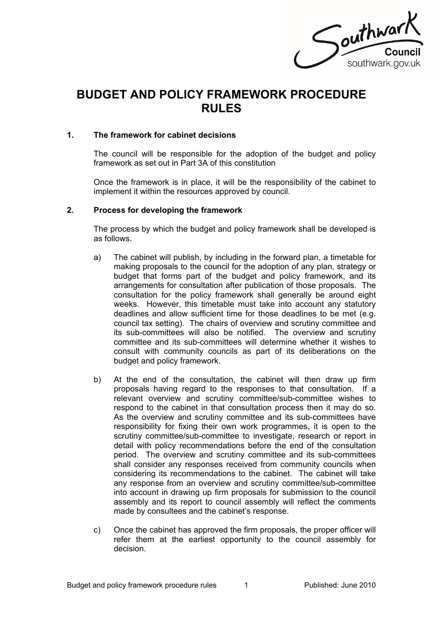

# **BUDGET AND POLICY FRAMEWORK PROCEDURE RULES**

### **1. The framework for cabinet decisions**

The council will be responsible for the adoption of the budget and policy framework as set out in Part 3A of this constitution

Once the framework is in place, it will be the responsibility of the cabinet to implement it within the resources approved by council.

#### **2. Process for developing the framework**

The process by which the budget and policy framework shall be developed is as follows.

- a) The cabinet will publish, by including in the forward plan, a timetable for making proposals to the council for the adoption of any plan, strategy or budget that forms part of the budget and policy framework, and its arrangements for consultation after publication of those proposals. The consultation for the policy framework shall generally be around eight weeks. However, this timetable must take into account any statutory deadlines and allow sufficient time for those deadlines to be met (e.g. council tax setting). The chairs of overview and scrutiny committee and its sub-committees will also be notified. The overview and scrutiny committee and its sub-committees will determine whether it wishes to consult with community councils as part of its deliberations on the budget and policy framework.
- b) At the end of the consultation, the cabinet will then draw up firm proposals having regard to the responses to that consultation. If a relevant overview and scrutiny committee/sub-committee wishes to respond to the cabinet in that consultation process then it may do so. As the overview and scrutiny committee and its sub-committees have responsibility for fixing their own work programmes, it is open to the scrutiny committee/sub-committee to investigate, research or report in detail with policy recommendations before the end of the consultation period. The overview and scrutiny committee and its sub-committees shall consider any responses received from community councils when considering its recommendations to the cabinet. The cabinet will take any response from an overview and scrutiny committee/sub-committee into account in drawing up firm proposals for submission to the council assembly and its report to council assembly will reflect the comments made by consultees and the cabinet's response.
- c) Once the cabinet has approved the firm proposals, the proper officer will refer them at the earliest opportunity to the council assembly for decision.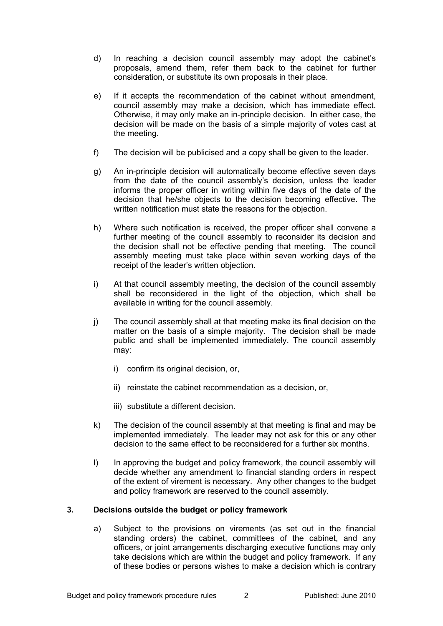- d) In reaching a decision council assembly may adopt the cabinet's proposals, amend them, refer them back to the cabinet for further consideration, or substitute its own proposals in their place.
- e) If it accepts the recommendation of the cabinet without amendment, council assembly may make a decision, which has immediate effect. Otherwise, it may only make an in-principle decision. In either case, the decision will be made on the basis of a simple majority of votes cast at the meeting.
- f) The decision will be publicised and a copy shall be given to the leader.
- g) An in-principle decision will automatically become effective seven days from the date of the council assembly's decision, unless the leader informs the proper officer in writing within five days of the date of the decision that he/she objects to the decision becoming effective. The written notification must state the reasons for the objection.
- h) Where such notification is received, the proper officer shall convene a further meeting of the council assembly to reconsider its decision and the decision shall not be effective pending that meeting. The council assembly meeting must take place within seven working days of the receipt of the leader's written objection.
- i) At that council assembly meeting, the decision of the council assembly shall be reconsidered in the light of the objection, which shall be available in writing for the council assembly.
- j) The council assembly shall at that meeting make its final decision on the matter on the basis of a simple majority. The decision shall be made public and shall be implemented immediately. The council assembly may:
	- i) confirm its original decision, or,
	- ii) reinstate the cabinet recommendation as a decision, or,
	- iii) substitute a different decision.
- k) The decision of the council assembly at that meeting is final and may be implemented immediately. The leader may not ask for this or any other decision to the same effect to be reconsidered for a further six months.
- l) In approving the budget and policy framework, the council assembly will decide whether any amendment to financial standing orders in respect of the extent of virement is necessary. Any other changes to the budget and policy framework are reserved to the council assembly.

## **3. Decisions outside the budget or policy framework**

a) Subject to the provisions on virements (as set out in the financial standing orders) the cabinet, committees of the cabinet, and any officers, or joint arrangements discharging executive functions may only take decisions which are within the budget and policy framework. If any of these bodies or persons wishes to make a decision which is contrary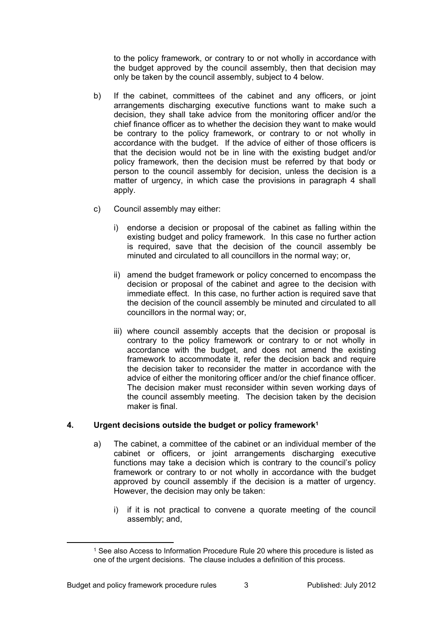to the policy framework, or contrary to or not wholly in accordance with the budget approved by the council assembly, then that decision may only be taken by the council assembly, subject to 4 below.

- b) If the cabinet, committees of the cabinet and any officers, or joint arrangements discharging executive functions want to make such a decision, they shall take advice from the monitoring officer and/or the chief finance officer as to whether the decision they want to make would be contrary to the policy framework, or contrary to or not wholly in accordance with the budget. If the advice of either of those officers is that the decision would not be in line with the existing budget and/or policy framework, then the decision must be referred by that body or person to the council assembly for decision, unless the decision is a matter of urgency, in which case the provisions in paragraph 4 shall apply.
- c) Council assembly may either:
	- i) endorse a decision or proposal of the cabinet as falling within the existing budget and policy framework. In this case no further action is required, save that the decision of the council assembly be minuted and circulated to all councillors in the normal way; or,
	- ii) amend the budget framework or policy concerned to encompass the decision or proposal of the cabinet and agree to the decision with immediate effect. In this case, no further action is required save that the decision of the council assembly be minuted and circulated to all councillors in the normal way; or,
	- iii) where council assembly accepts that the decision or proposal is contrary to the policy framework or contrary to or not wholly in accordance with the budget, and does not amend the existing framework to accommodate it, refer the decision back and require the decision taker to reconsider the matter in accordance with the advice of either the monitoring officer and/or the chief finance officer. The decision maker must reconsider within seven working days of the council assembly meeting. The decision taken by the decision maker is final.

# **4. Urgent decisions outside the budget or policy framework<sup>1</sup>**

- a) The cabinet, a committee of the cabinet or an individual member of the cabinet or officers, or joint arrangements discharging executive functions may take a decision which is contrary to the council's policy framework or contrary to or not wholly in accordance with the budget approved by council assembly if the decision is a matter of urgency. However, the decision may only be taken:
	- i) if it is not practical to convene a quorate meeting of the council assembly; and,

<sup>1</sup> See also Access to Information Procedure Rule 20 where this procedure is listed as one of the urgent decisions. The clause includes a definition of this process.